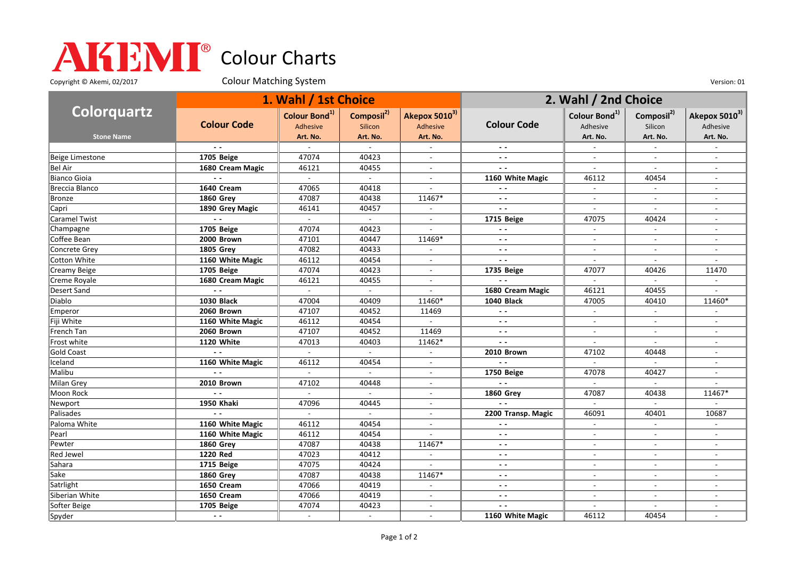## Colour Charts

Copyright © Akemi, 02/2017 Colour Matching System Colour Matching Constant Constant Out of the Version: 01

| Colorquartz            | 1. Wahl / 1st Choice |                                                   |                                               |                                       | 2. Wahl / 2nd Choice     |                                       |                                   |                                       |
|------------------------|----------------------|---------------------------------------------------|-----------------------------------------------|---------------------------------------|--------------------------|---------------------------------------|-----------------------------------|---------------------------------------|
|                        | <b>Colour Code</b>   | Colour Bond <sup>1)</sup><br>Adhesive<br>Art. No. | Composil <sup>2)</sup><br>Silicon<br>Art. No. | Akepox 50103)<br>Adhesive<br>Art. No. | <b>Colour Code</b>       | Colour Bond <sup>1)</sup><br>Adhesive | Composil <sup>2)</sup><br>Silicon | Akepox 5010 <sup>3)</sup><br>Adhesive |
| <b>Stone Name</b>      |                      |                                                   |                                               |                                       |                          | Art. No.                              | Art. No.                          | Art. No.                              |
|                        |                      |                                                   |                                               |                                       |                          |                                       |                                   |                                       |
| <b>Beige Limestone</b> | 1705 Beige           | 47074                                             | 40423                                         | $\overline{a}$                        | $\sim$ $\sim$            | $\overline{a}$                        | $\overline{\phantom{a}}$          | $\overline{\phantom{a}}$              |
| <b>Bel Air</b>         | 1680 Cream Magic     | 46121                                             | 40455                                         | $\overline{\phantom{a}}$              | $\overline{\phantom{a}}$ | $\overline{\phantom{a}}$              | $\overline{\phantom{a}}$          |                                       |
| <b>Bianco Gioia</b>    | $ -$                 | $\sim$                                            | $\sim$                                        | $\overline{\phantom{a}}$              | 1160 White Magic         | 46112                                 | 40454                             | $\sim$                                |
| Breccia Blanco         | 1640 Cream           | 47065                                             | 40418                                         |                                       |                          | $\blacksquare$                        | $\blacksquare$                    |                                       |
| <b>Bronze</b>          | <b>1860 Grev</b>     | 47087                                             | 40438                                         | 11467*                                | $\sim$ $\sim$            | $\overline{a}$                        | $\mathbf{r}$                      |                                       |
| Capri                  | 1890 Grey Magic      | 46141                                             | 40457                                         | $\sim$                                | $\overline{a}$           | $\overline{\phantom{a}}$              | $\overline{\phantom{a}}$          | $\overline{a}$                        |
| <b>Caramel Twist</b>   |                      |                                                   | $\sim$                                        | $\sim$                                | 1715 Beige               | 47075                                 | 40424                             |                                       |
| Champagne              | 1705 Beige           | 47074                                             | 40423                                         | $\sim$                                | $ -$                     | $\sim$                                | $\overline{\phantom{a}}$          | $\sim$                                |
| Coffee Bean            | 2000 Brown           | 47101                                             | 40447                                         | 11469*                                | $\overline{\phantom{a}}$ |                                       |                                   |                                       |
| Concrete Grey          | <b>1805 Grey</b>     | 47082                                             | 40433                                         | $\blacksquare$                        | $\sim$ $\sim$            | $\blacksquare$                        | $\blacksquare$                    | $\overline{\phantom{a}}$              |
| Cotton White           | 1160 White Magic     | 46112                                             | 40454                                         | $\blacksquare$                        | $ -$                     | $\overline{a}$                        | $\sim$                            |                                       |
| Creamy Beige           | 1705 Beige           | 47074                                             | 40423                                         | $\overline{\phantom{a}}$              | 1735 Beige               | 47077                                 | 40426                             | 11470                                 |
| Creme Royale           | 1680 Cream Magic     | 46121                                             | 40455                                         | $\overline{a}$                        | $\sim$ $\sim$            | $\sim$                                | $\sim$                            |                                       |
| <b>Desert Sand</b>     |                      |                                                   |                                               |                                       | 1680 Cream Magic         | 46121                                 | 40455                             |                                       |
| Diablo                 | <b>1030 Black</b>    | 47004                                             | 40409                                         | 11460*                                | <b>1040 Black</b>        | 47005                                 | 40410                             | 11460*                                |
| Emperor                | 2060 Brown           | 47107                                             | 40452                                         | 11469                                 | $\sim$ $\sim$            | $\blacksquare$                        | $\blacksquare$                    |                                       |
| Fiji White             | 1160 White Magic     | 46112                                             | 40454                                         | $\mathcal{L}^{\pm}$                   | $ -$                     | $\blacksquare$                        | $\blacksquare$                    |                                       |
| French Tan             | 2060 Brown           | 47107                                             | 40452                                         | 11469                                 | $ -$                     | $\overline{\phantom{a}}$              | $\overline{\phantom{a}}$          |                                       |
| Frost white            | 1120 White           | 47013                                             | 40403                                         | 11462*                                | $\overline{a}$           |                                       |                                   |                                       |
| <b>Gold Coast</b>      | $\sim$               | $\sim$                                            | $\sim$                                        | $\overline{a}$                        | 2010 Brown               | 47102                                 | 40448                             | $\overline{\phantom{a}}$              |
| Iceland                | 1160 White Magic     | 46112                                             | 40454                                         | $\blacksquare$                        | $\sim$ $\sim$            |                                       |                                   |                                       |
| Malibu                 |                      | $\sim$                                            | $\sim$                                        | $\overline{a}$                        | 1750 Beige               | 47078                                 | 40427                             |                                       |
| Milan Grey             | 2010 Brown           | 47102                                             | 40448                                         | $\overline{\phantom{a}}$              | $\sim$ $\sim$            | $\overline{a}$                        |                                   |                                       |
| Moon Rock              |                      |                                                   | $\mathbb{L}$                                  | $\overline{a}$                        | <b>1860 Grev</b>         | 47087                                 | 40438                             | 11467*                                |
| Newport                | 1950 Khaki           | 47096                                             | 40445                                         | $\blacksquare$                        | $\overline{a}$           | $\overline{\phantom{a}}$              | $\overline{\phantom{a}}$          |                                       |
| Palisades              |                      |                                                   | $\sim$                                        | $\blacksquare$                        | 2200 Transp. Magic       | 46091                                 | 40401                             | 10687                                 |
| Paloma White           | 1160 White Magic     | 46112                                             | 40454                                         | $\overline{a}$                        | $\overline{\phantom{a}}$ | $\blacksquare$                        | $\blacksquare$                    |                                       |
| Pearl                  | 1160 White Magic     | 46112                                             | 40454                                         |                                       | $\sim$ $\sim$            |                                       |                                   |                                       |
| Pewter                 | <b>1860 Grev</b>     | 47087                                             | 40438                                         | 11467*                                | $\sim$ $\sim$            | $\overline{a}$                        | $\sim$                            |                                       |
| <b>Red Jewel</b>       | 1220 Red             | 47023                                             | 40412                                         | $\overline{\phantom{a}}$              | $\sim$ $\sim$            | $\overline{\phantom{a}}$              | $\overline{\phantom{a}}$          | $\overline{\phantom{a}}$              |
| Sahara                 | 1715 Beige           | 47075                                             | 40424                                         |                                       | $ -$                     | $\overline{\phantom{a}}$              | $\overline{\phantom{a}}$          |                                       |
| Sake                   | <b>1860 Grey</b>     | 47087                                             | 40438                                         | 11467*                                | $ -$                     | $\blacksquare$                        | $\blacksquare$                    | $\sim$                                |
| Satrlight              | 1650 Cream           | 47066                                             | 40419                                         | $\blacksquare$                        | $ -$                     | $\overline{\phantom{a}}$              | $\overline{\phantom{a}}$          |                                       |
| Siberian White         | 1650 Cream           | 47066                                             | 40419                                         | $\overline{a}$                        | $\overline{a}$           | $\overline{a}$                        | $\sim$                            | $\overline{\phantom{a}}$              |
| Softer Beige           | 1705 Beige           | 47074                                             | 40423                                         | $\blacksquare$                        | $ -$                     | $\overline{\phantom{a}}$              | $\blacksquare$                    | $\overline{\phantom{a}}$              |
| Spyder                 | $ -$                 |                                                   | $\sim$                                        | $\sim$                                | 1160 White Magic         | 46112                                 | 40454                             |                                       |